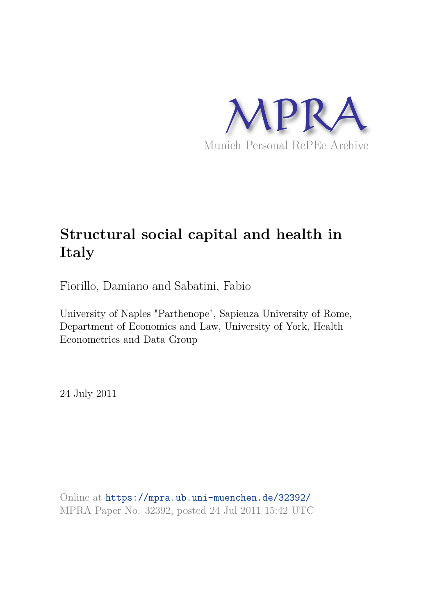

# **Structural social capital and health in Italy**

Fiorillo, Damiano and Sabatini, Fabio

University of Naples "Parthenope", Sapienza University of Rome, Department of Economics and Law, University of York, Health Econometrics and Data Group

24 July 2011

Online at https://mpra.ub.uni-muenchen.de/32392/ MPRA Paper No. 32392, posted 24 Jul 2011 15:42 UTC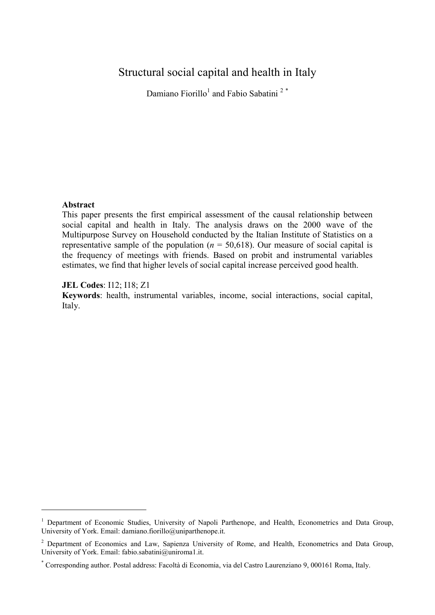# Structural social capital and health in Italy

Damiano Fiorillo<sup>1</sup> and Fabio Sabatini<sup>2</sup>\*

## **Abstract**

-

This paper presents the first empirical assessment of the causal relationship between social capital and health in Italy. The analysis draws on the 2000 wave of the Multipurpose Survey on Household conducted by the Italian Institute of Statistics on a representative sample of the population ( $n = 50,618$ ). Our measure of social capital is the frequency of meetings with friends. Based on probit and instrumental variables estimates, we find that higher levels of social capital increase perceived good health.

# : I12; I18; Z1

**Keywords**: health, instrumental variables, income, social interactions, social capital, Italy.

<sup>&</sup>lt;sup>1</sup> Department of Economic Studies, University of Napoli Parthenope, and Health, Econometrics and Data Group, University of York. Email: damiano.fiorillo@uniparthenope.it.

<sup>&</sup>lt;sup>2</sup> Department of Economics and Law, Sapienza University of Rome, and Health, Econometrics and Data Group, University of York. Email: fabio.sabatini@uniroma1.it.

<sup>\*</sup> Corresponding author. Postal address: Facoltà di Economia, via del Castro Laurenziano 9, 000161 Roma, Italy.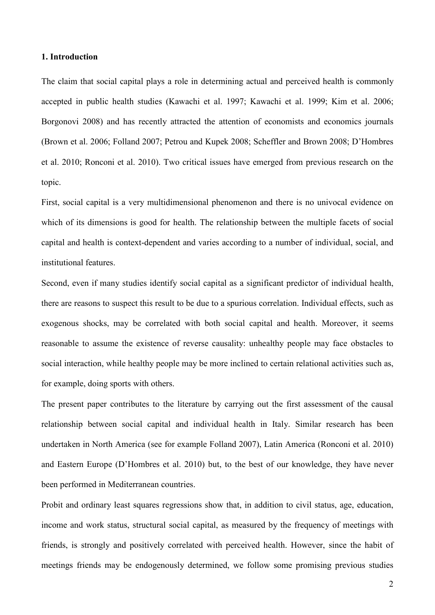#### 1. Introduction

The claim that social capital plays a role in determining actual and perceived health is commonly accepted in public health studies (Kawachi et al. 1997; Kawachi et al. 1999; Kim et al. 2006; Borgonovi 2008) and has recently attracted the attention of economists and economics journals (Brown et al. 2006; Folland 2007; Petrou and Kupek 2008; Scheffler and Brown 2008; D'Hombres et al. 2010; Ronconi et al. 2010). Two critical issues have emerged from previous research on the topic.

First, social capital is a very multidimensional phenomenon and there is no univocal evidence on which of its dimensions is good for health. The relationship between the multiple facets of social capital and health is context-dependent and varies according to a number of individual, social, and institutional features.

Second, even if many studies identify social capital as a significant predictor of individual health, there are reasons to suspect this result to be due to a spurious correlation. Individual effects, such as exogenous shocks, may be correlated with both social capital and health. Moreover, it seems reasonable to assume the existence of reverse causality: unhealthy people may face obstacles to social interaction, while healthy people may be more inclined to certain relational activities such as, for example, doing sports with others.

The present paper contributes to the literature by carrying out the first assessment of the causal relationship between social capital and individual health in Italy. Similar research has been undertaken in North America (see for example Folland 2007), Latin America (Ronconi et al. 2010) and Eastern Europe (D'Hombres et al. 2010) but, to the best of our knowledge, they have never been performed in Mediterranean countries.

Probit and ordinary least squares regressions show that, in addition to civil status, age, education, income and work status, structural social capital, as measured by the frequency of meetings with friends, is strongly and positively correlated with perceived health. However, since the habit of meetings friends may be endogenously determined, we follow some promising previous studies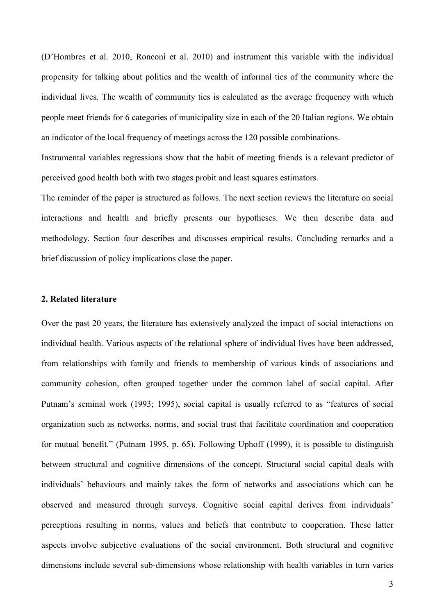(D'Hombres et al. 2010, Ronconi et al. 2010) and instrument this variable with the individual propensity for talking about politics and the wealth of informal ties of the community where the individual lives. The wealth of community ties is calculated as the average frequency with which people meet friends for 6 categories of municipality size in each of the 20 Italian regions. We obtain an indicator of the local frequency of meetings across the 120 possible combinations.

Instrumental variables regressions show that the habit of meeting friends is a relevant predictor of perceived good health both with two stages probit and least squares estimators.

The reminder of the paper is structured as follows. The next section reviews the literature on social interactions and health and briefly presents our hypotheses. We then describe data and methodology. Section four describes and discusses empirical results. Concluding remarks and a brief discussion of policy implications close the paper.

#### 2. Related literature

Over the past 20 years, the literature has extensively analyzed the impact of social interactions on individual health. Various aspects of the relational sphere of individual lives have been addressed, from relationships with family and friends to membership of various kinds of associations and community cohesion, often grouped together under the common label of social capital. After Putnam's seminal work (1993; 1995), social capital is usually referred to as "features of social organization such as networks, norms, and social trust that facilitate coordination and cooperation for mutual benefit." (Putnam 1995, p. 65). Following Uphoff (1999), it is possible to distinguish between structural and cognitive dimensions of the concept. Structural social capital deals with individuals' behaviours and mainly takes the form of networks and associations which can be observed and measured through surveys. Cognitive social capital derives from individuals' perceptions resulting in norms, values and beliefs that contribute to cooperation. These latter aspects involve subjective evaluations of the social environment. Both structural and cognitive dimensions include several sub-dimensions whose relationship with health variables in turn varies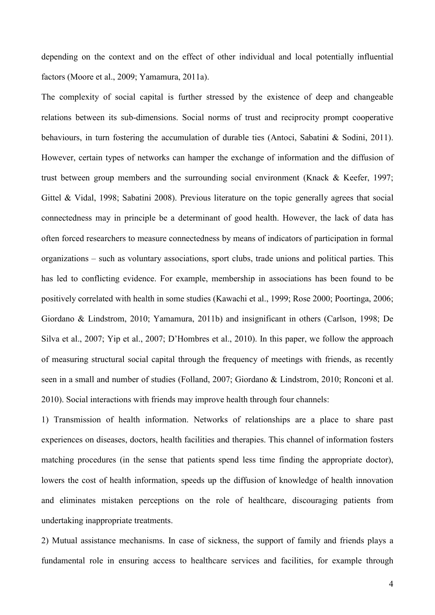depending on the context and on the effect of other individual and local potentially influential factors (Moore et al., 2009; Yamamura, 2011a).

The complexity of social capital is further stressed by the existence of deep and changeable relations between its sub-dimensions. Social norms of trust and reciprocity prompt cooperative behaviours, in turn fostering the accumulation of durable ties (Antoci, Sabatini & Sodini, 2011). However, certain types of networks can hamper the exchange of information and the diffusion of trust between group members and the surrounding social environment (Knack & Keefer, 1997; Gittel & Vidal, 1998; Sabatini 2008). Previous literature on the topic generally agrees that social connectedness may in principle be a determinant of good health. However, the lack of data has often forced researchers to measure connectedness by means of indicators of participation in formal organizations – such as voluntary associations, sport clubs, trade unions and political parties. This has led to conflicting evidence. For example, membership in associations has been found to be positively correlated with health in some studies (Kawachi et al., 1999; Rose 2000; Poortinga, 2006; Giordano & Lindstrom, 2010; Yamamura, 2011b) and insignificant in others (Carlson, 1998; De Silva et al., 2007; Yip et al., 2007; D'Hombres et al., 2010). In this paper, we follow the approach of measuring structural social capital through the frequency of meetings with friends, as recently seen in a small and number of studies (Folland, 2007; Giordano & Lindstrom, 2010; Ronconi et al. 2010). Social interactions with friends may improve health through four channels:

1) Transmission of health information. Networks of relationships are a place to share past experiences on diseases, doctors, health facilities and therapies. This channel of information fosters matching procedures (in the sense that patients spend less time finding the appropriate doctor), lowers the cost of health information, speeds up the diffusion of knowledge of health innovation and eliminates mistaken perceptions on the role of healthcare, discouraging patients from undertaking inappropriate treatments.

2) Mutual assistance mechanisms. In case of sickness, the support of family and friends plays a fundamental role in ensuring access to healthcare services and facilities, for example through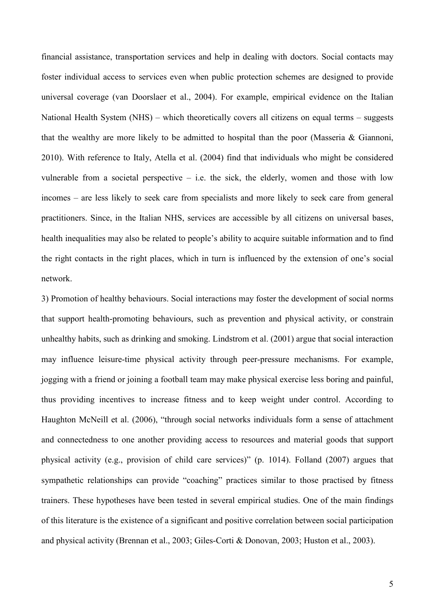financial assistance, transportation services and help in dealing with doctors. Social contacts may foster individual access to services even when public protection schemes are designed to provide universal coverage (van Doorslaer et al., 2004). For example, empirical evidence on the Italian National Health System (NHS) – which theoretically covers all citizens on equal terms – suggests that the wealthy are more likely to be admitted to hospital than the poor (Masseria & Giannoni, 2010). With reference to Italy, Atella et al. (2004) find that individuals who might be considered vulnerable from a societal perspective  $-$  i.e. the sick, the elderly, women and those with low incomes – are less likely to seek care from specialists and more likely to seek care from general practitioners. Since, in the Italian NHS, services are accessible by all citizens on universal bases, health inequalities may also be related to people's ability to acquire suitable information and to find the right contacts in the right places, which in turn is influenced by the extension of one's social network.

3) Promotion of healthy behaviours. Social interactions may foster the development of social norms that support health-promoting behaviours, such as prevention and physical activity, or constrain unhealthy habits, such as drinking and smoking. Lindstrom et al. (2001) argue that social interaction may influence leisure-time physical activity through peer-pressure mechanisms. For example, jogging with a friend or joining a football team may make physical exercise less boring and painful, thus providing incentives to increase fitness and to keep weight under control. According to Haughton McNeill et al. (2006), "through social networks individuals form a sense of attachment and connectedness to one another providing access to resources and material goods that support physical activity (e.g., provision of child care services)" (p. 1014). Folland (2007) argues that sympathetic relationships can provide "coaching" practices similar to those practised by fitness trainers. These hypotheses have been tested in several empirical studies. One of the main findings of this literature is the existence of a significant and positive correlation between social participation and physical activity (Brennan et al., 2003; Giles-Corti & Donovan, 2003; Huston et al., 2003).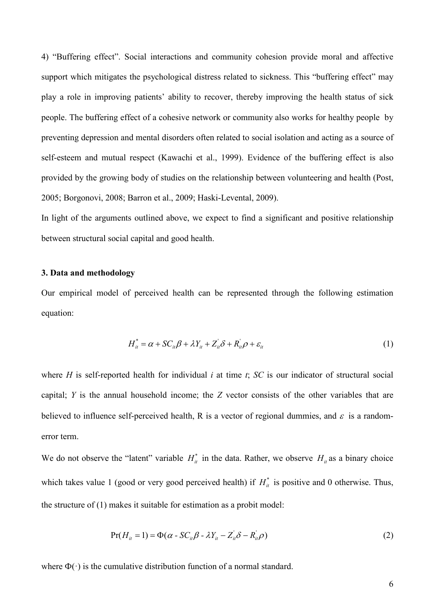4) "Buffering effect". Social interactions and community cohesion provide moral and affective support which mitigates the psychological distress related to sickness. This "buffering effect" may play a role in improving patients' ability to recover, thereby improving the health status of sick people. The buffering effect of a cohesive network or community also works for healthy people by preventing depression and mental disorders often related to social isolation and acting as a source of self-esteem and mutual respect (Kawachi et al., 1999). Evidence of the buffering effect is also provided by the growing body of studies on the relationship between volunteering and health (Post, 2005; Borgonovi, 2008; Barron et al., 2009; Haski-Levental, 2009).

In light of the arguments outlined above, we expect to find a significant and positive relationship between structural social capital and good health.

# 3. Data and methodology

Our empirical model of perceived health can be represented through the following estimation equation:

$$
H_{it}^* = \alpha + SC_{it}\beta + \lambda Y_{it} + Z_{it}^{\prime}\delta + R_{it}^{\prime}\rho + \varepsilon_{it}
$$
\n(1)

where  $H$  is self-reported health for individual  $i$  at time  $t$ ;  $SC$  is our indicator of structural social capital;  $Y$  is the annual household income; the  $Z$  vector consists of the other variables that are believed to influence self-perceived health, R is a vector of regional dummies, and  $\varepsilon$  is a randomerror term.

We do not observe the "latent" variable  $H_{\text{it}}^*$  in the data. Rather, we observe  $H_{\text{it}}$  as a binary choice which takes value 1 (good or very good perceived health) if  $H_{\text{it}}^*$  is positive and 0 otherwise. Thus, the structure of (1) makes it suitable for estimation as a probit model:

$$
Pr(H_{it} = 1) = \Phi(\alpha - SC_{it}\beta - \lambda Y_{it} - Z_{it}^{\prime}\delta - R_{it}^{\prime}\rho)
$$
\n(2)

where  $\Phi(\cdot)$  is the cumulative distribution function of a normal standard.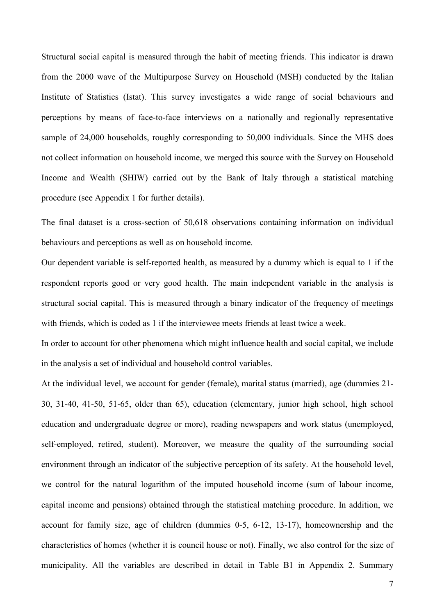Structural social capital is measured through the habit of meeting friends. This indicator is drawn from the 2000 wave of the Multipurpose Survey on Household (MSH) conducted by the Italian Institute of Statistics (Istat). This survey investigates a wide range of social behaviours and perceptions by means of face-to-face interviews on a nationally and regionally representative sample of 24,000 households, roughly corresponding to 50,000 individuals. Since the MHS does not collect information on household income, we merged this source with the Survey on Household Income and Wealth (SHIW) carried out by the Bank of Italy through a statistical matching procedure (see Appendix 1 for further details).

The final dataset is a cross-section of  $50,618$  observations containing information on individual behaviours and perceptions as well as on household income.

Our dependent variable is self-reported health, as measured by a dummy which is equal to 1 if the respondent reports good or very good health. The main independent variable in the analysis is structural social capital. This is measured through a binary indicator of the frequency of meetings with friends, which is coded as 1 if the interviewee meets friends at least twice a week.

In order to account for other phenomena which might influence health and social capital, we include in the analysis a set of individual and household control variables.

At the individual level, we account for gender (female), marital status (married), age (dummies 21- $30, 31-40, 41-50, 51-65,$  older than 65), education (elementary, junior high school, high school education and undergraduate degree or more), reading newspapers and work status (unemployed, self-employed, retired, student). Moreover, we measure the quality of the surrounding social environment through an indicator of the subjective perception of its safety. At the household level, we control for the natural logarithm of the imputed household income (sum of labour income, capital income and pensions) obtained through the statistical matching procedure. In addition, we account for family size, age of children (dummies  $0-5$ ,  $6-12$ ,  $13-17$ ), homeownership and the characteristics of homes (whether it is council house or not). Finally, we also control for the size of municipality. All the variables are described in detail in Table B1 in Appendix 2. Summary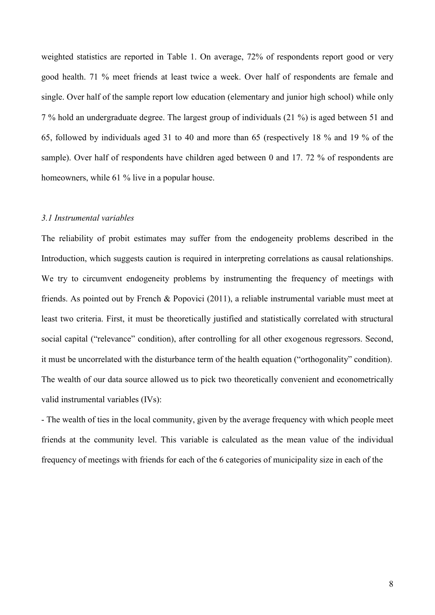weighted statistics are reported in Table 1. On average, 72% of respondents report good or very good health. 71 % meet friends at least twice a week. Over half of respondents are female and single. Over half of the sample report low education (elementary and junior high school) while only 7 % hold an undergraduate degree. The largest group of individuals (21 %) is aged between 51 and 65, followed by individuals aged 31 to 40 and more than 65 (respectively 18 % and 19 % of the sample). Over half of respondents have children aged between 0 and 17.72 % of respondents are homeowners, while 61 % live in a popular house.

#### 3.1 Instrumental variables

The reliability of probit estimates may suffer from the endogeneity problems described in the Introduction, which suggests caution is required in interpreting correlations as causal relationships. We try to circumvent endogeneity problems by instrumenting the frequency of meetings with friends. As pointed out by French & Popovici (2011), a reliable instrumental variable must meet at least two criteria. First, it must be theoretically justified and statistically correlated with structural social capital ("relevance" condition), after controlling for all other exogenous regressors. Second, it must be uncorrelated with the disturbance term of the health equation ("orthogonality" condition). The wealth of our data source allowed us to pick two theoretically convenient and econometrically valid instrumental variables (IVs):

- The wealth of ties in the local community, given by the average frequency with which people meet friends at the community level. This variable is calculated as the mean value of the individual frequency of meetings with friends for each of the 6 categories of municipality size in each of the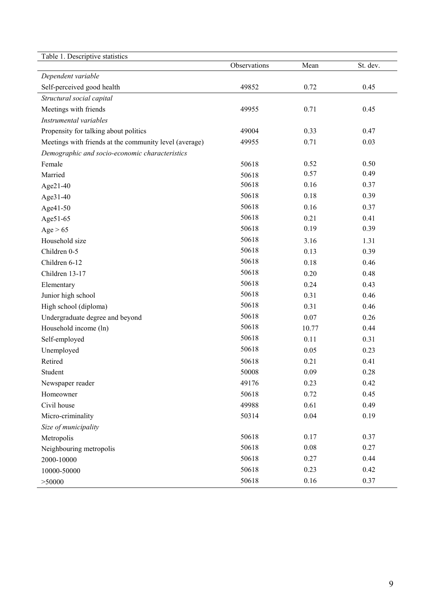| Table 1. Descriptive statistics                        |              |       |          |
|--------------------------------------------------------|--------------|-------|----------|
|                                                        | Observations | Mean  | St. dev. |
| Dependent variable                                     |              |       |          |
| Self-perceived good health                             | 49852        | 0.72  | 0.45     |
| Structural social capital                              |              |       |          |
| Meetings with friends                                  | 49955        | 0.71  | 0.45     |
| Instrumental variables                                 |              |       |          |
| Propensity for talking about politics                  | 49004        | 0.33  | 0.47     |
| Meetings with friends at the community level (average) | 49955        | 0.71  | 0.03     |
| Demographic and socio-economic characteristics         |              |       |          |
| Female                                                 | 50618        | 0.52  | 0.50     |
| Married                                                | 50618        | 0.57  | 0.49     |
| Age21-40                                               | 50618        | 0.16  | 0.37     |
| Age31-40                                               | 50618        | 0.18  | 0.39     |
| Age41-50                                               | 50618        | 0.16  | 0.37     |
| Age51-65                                               | 50618        | 0.21  | 0.41     |
| Age $> 65$                                             | 50618        | 0.19  | 0.39     |
| Household size                                         | 50618        | 3.16  | 1.31     |
| Children 0-5                                           | 50618        | 0.13  | 0.39     |
| Children 6-12                                          | 50618        | 0.18  | 0.46     |
| Children 13-17                                         | 50618        | 0.20  | 0.48     |
| Elementary                                             | 50618        | 0.24  | 0.43     |
| Junior high school                                     | 50618        | 0.31  | 0.46     |
| High school (diploma)                                  | 50618        | 0.31  | 0.46     |
| Undergraduate degree and beyond                        | 50618        | 0.07  | 0.26     |
| Household income (ln)                                  | 50618        | 10.77 | 0.44     |
| Self-employed                                          | 50618        | 0.11  | 0.31     |
| Unemployed                                             | 50618        | 0.05  | 0.23     |
| Retired                                                | 50618        | 0.21  | 0.41     |
| Student                                                | 50008        | 0.09  | 0.28     |
| Newspaper reader                                       | 49176        | 0.23  | 0.42     |
| Homeowner                                              | 50618        | 0.72  | 0.45     |
| Civil house                                            | 49988        | 0.61  | 0.49     |
| Micro-criminality                                      | 50314        | 0.04  | 0.19     |
| Size of municipality                                   |              |       |          |
| Metropolis                                             | 50618        | 0.17  | 0.37     |
| Neighbouring metropolis                                | 50618        | 0.08  | 0.27     |
| 2000-10000                                             | 50618        | 0.27  | 0.44     |
| 10000-50000                                            | 50618        | 0.23  | 0.42     |
| > 50000                                                | 50618        | 0.16  | 0.37     |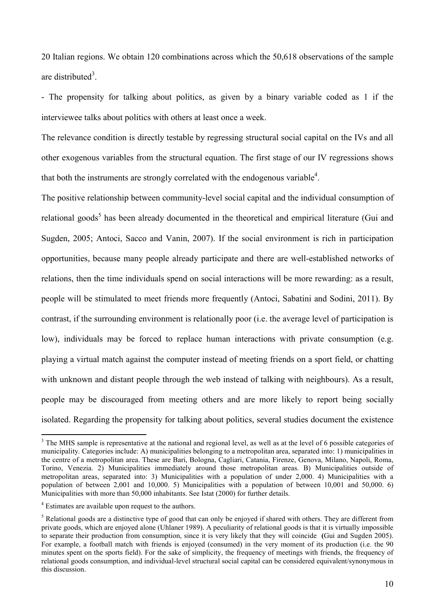20 Italian regions. We obtain 120 combinations across which the 50,618 observations of the sample are distributed<sup>3</sup>.

- The propensity for talking about politics, as given by a binary variable coded as 1 if the interviewee talks about politics with others at least once a week.

The relevance condition is directly testable by regressing structural social capital on the IVs and all other exogenous variables from the structural equation. The first stage of our IV regressions shows that both the instruments are strongly correlated with the endogenous variable<sup>4</sup>.

The positive relationship between community-level social capital and the individual consumption of relational goods<sup>5</sup> has been already documented in the theoretical and empirical literature (Gui and Sugden, 2005; Antoci, Sacco and Vanin, 2007). If the social environment is rich in participation opportunities, because many people already participate and there are well-established networks of relations, then the time individuals spend on social interactions will be more rewarding: as a result, people will be stimulated to meet friends more frequently (Antoci, Sabatini and Sodini, 2011). By contrast, if the surrounding environment is relationally poor (i.e. the average level of participation is low), individuals may be forced to replace human interactions with private consumption (e.g. playing a virtual match against the computer instead of meeting friends on a sport field, or chatting with unknown and distant people through the web instead of talking with neighbours). As a result, people may be discouraged from meeting others and are more likely to report being socially isolated. Regarding the propensity for talking about politics, several studies document the existence

-

<sup>&</sup>lt;sup>3</sup> The MHS sample is representative at the national and regional level, as well as at the level of 6 possible categories of municipality. Categories include: A) municipalities belonging to a metropolitan area, separated into: 1) municipalities in the centre of a metropolitan area. These are Bari, Bologna, Cagliari, Catania, Firenze, Genova, Milano, Napoli, Roma, Torino, Venezia. 2) Municipalities immediately around those metropolitan areas. B) Municipalities outside of metropolitan areas, separated into: 3) Municipalities with a population of under 2,000. 4) Municipalities with a population of between 2,001 and 10,000. 5) Municipalities with a population of between 10,001 and 50,000. 6) Municipalities with more than 50,000 inhabitants. See Istat (2000) for further details.

<sup>&</sup>lt;sup>4</sup> Estimates are available upon request to the authors.

<sup>&</sup>lt;sup>5</sup> Relational goods are a distinctive type of good that can only be enjoyed if shared with others. They are different from private goods, which are enjoyed alone (Uhlaner 1989). A peculiarity of relational goods is that it is virtually impossible to separate their production from consumption, since it is very likely that they will coincide (Gui and Sugden 2005). For example, a football match with friends is enjoyed (consumed) in the very moment of its production (i.e. the 90 minutes spent on the sports field). For the sake of simplicity, the frequency of meetings with friends, the frequency of relational goods consumption, and individual-level structural social capital can be considered equivalent/synonymous in this discussion.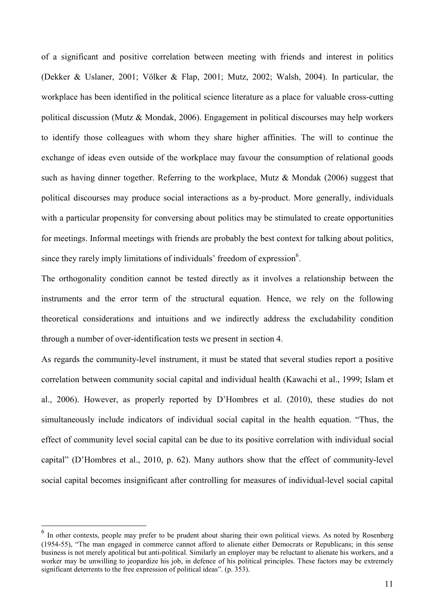of a significant and positive correlation between meeting with friends and interest in politics (Dekker & Uslaner, 2001; Völker & Flap, 2001; Mutz, 2002; Walsh, 2004). In particular, the workplace has been identified in the political science literature as a place for valuable cross-cutting political discussion (Mutz & Mondak, 2006). Engagement in political discourses may help workers to identify those colleagues with whom they share higher affinities. The will to continue the exchange of ideas even outside of the workplace may favour the consumption of relational goods such as having dinner together. Referring to the workplace, Mutz  $\&$  Mondak (2006) suggest that political discourses may produce social interactions as a by-product. More generally, individuals with a particular propensity for conversing about politics may be stimulated to create opportunities for meetings. Informal meetings with friends are probably the best context for talking about politics, since they rarely imply limitations of individuals' freedom of expression $6$ .

The orthogonality condition cannot be tested directly as it involves a relationship between the instruments and the error term of the structural equation. Hence, we rely on the following theoretical considerations and intuitions and we indirectly address the excludability condition through a number of over-identification tests we present in section 4.

As regards the community-level instrument, it must be stated that several studies report a positive correlation between community social capital and individual health (Kawachi et al., 1999; Islam et al., 2006). However, as properly reported by D'Hombres et al. (2010), these studies do not simultaneously include indicators of individual social capital in the health equation. "Thus, the effect of community level social capital can be due to its positive correlation with individual social capital" (D'Hombres et al., 2010, p. 62). Many authors show that the effect of community-level social capital becomes insignificant after controlling for measures of individual-level social capital

<u>.</u>

<sup>&</sup>lt;sup>6</sup> In other contexts, people may prefer to be prudent about sharing their own political views. As noted by Rosenberg  $(1954-55)$ , "The man engaged in commerce cannot afford to alienate either Democrats or Republicans; in this sense business is not merely apolitical but anti-political. Similarly an employer may be reluctant to alienate his workers, and a worker may be unwilling to jeopardize his job, in defence of his political principles. These factors may be extremely significant deterrents to the free expression of political ideas". (p. 353).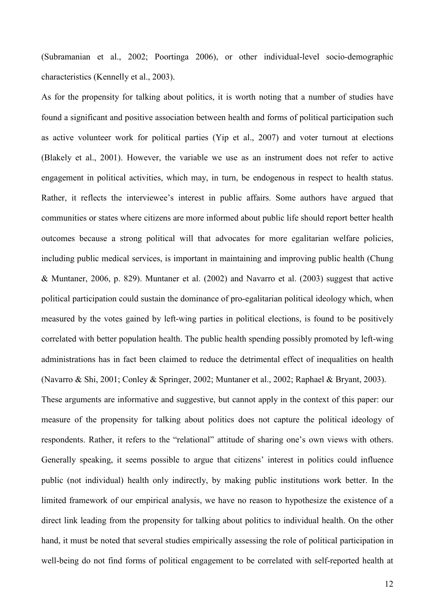(Subramanian et al.,  $2002$ ; Poortinga  $2006$ ), or other individual-level socio-demographic characteristics (Kennelly et al., 2003).

As for the propensity for talking about politics, it is worth noting that a number of studies have found a significant and positive association between health and forms of political participation such as active volunteer work for political parties (Yip et al., 2007) and voter turnout at elections (Blakely et al., 2001). However, the variable we use as an instrument does not refer to active engagement in political activities, which may, in turn, be endogenous in respect to health status. Rather, it reflects the interviewee's interest in public affairs. Some authors have argued that communities or states where citizens are more informed about public life should report better health outcomes because a strong political will that advocates for more egalitarian welfare policies, including public medical services, is important in maintaining and improving public health (Chung & Muntaner, 2006, p. 829). Muntaner et al. (2002) and Navarro et al. (2003) suggest that active political participation could sustain the dominance of pro-egalitarian political ideology which, when measured by the votes gained by left-wing parties in political elections, is found to be positively correlated with better population health. The public health spending possibly promoted by left-wing administrations has in fact been claimed to reduce the detrimental effect of inequalities on health (Navarro & Shi, 2001; Conley & Springer, 2002; Muntaner et al., 2002; Raphael & Bryant, 2003). These arguments are informative and suggestive, but cannot apply in the context of this paper: our

measure of the propensity for talking about politics does not capture the political ideology of respondents. Rather, it refers to the "relational" attitude of sharing one's own views with others. Generally speaking, it seems possible to argue that citizens' interest in politics could influence public (not individual) health only indirectly, by making public institutions work better. In the limited framework of our empirical analysis, we have no reason to hypothesize the existence of a direct link leading from the propensity for talking about politics to individual health. On the other hand, it must be noted that several studies empirically assessing the role of political participation in well-being do not find forms of political engagement to be correlated with self-reported health at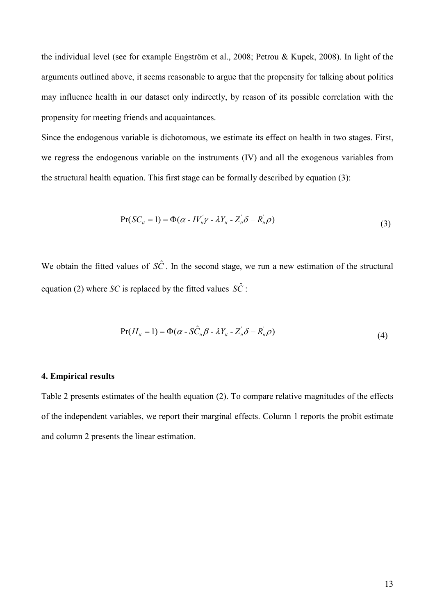the individual level (see for example Engström et al., 2008; Petrou & Kupek, 2008). In light of the arguments outlined above, it seems reasonable to argue that the propensity for talking about politics may influence health in our dataset only indirectly, by reason of its possible correlation with the propensity for meeting friends and acquaintances.

Since the endogenous variable is dichotomous, we estimate its effect on health in two stages. First, we regress the endogenous variable on the instruments (IV) and all the exogenous variables from the structural health equation. This first stage can be formally described by equation (3):

$$
Pr(SC_{it} = 1) = \Phi(\alpha - IV_{it}^{'} \gamma - \lambda Y_{it} - Z_{it}^{'} \delta - R_{it}^{'} \rho)
$$
\n(3)

We obtain the fitted values of  $S\hat{C}$ . In the second stage, we run a new estimation of the structural equation (2) where *SC* is replaced by the fitted values  $\hat{SC}$ :

$$
Pr(H_{ii} = 1) = \Phi(\alpha - S\hat{C}_{ii}\beta - \lambda Y_{ii} - Z_{ii} \delta - R_{ii} \rho)
$$
\n(4)

#### **4. Empirical results**

Table 2 presents estimates of the health equation (2). To compare relative magnitudes of the effects of the independent variables, we report their marginal effects. Column 1 reports the probit estimate and column 2 presents the linear estimation.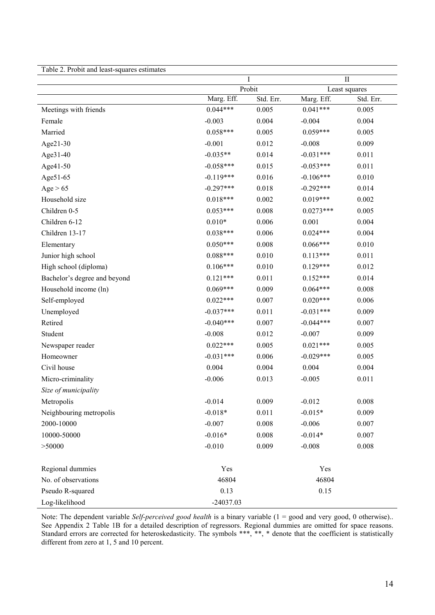| Table 2. Probit and least-squares estimates |             |                     |             |                            |  |
|---------------------------------------------|-------------|---------------------|-------------|----------------------------|--|
|                                             |             | T                   |             | $\prod$                    |  |
|                                             | Marg. Eff.  | Probit<br>Std. Err. | Marg. Eff.  | Least squares<br>Std. Err. |  |
| Meetings with friends                       | $0.044***$  | 0.005               | $0.041***$  | 0.005                      |  |
| Female                                      | $-0.003$    | 0.004               | $-0.004$    | 0.004                      |  |
| Married                                     | $0.058***$  | 0.005               | $0.059***$  | 0.005                      |  |
| Age21-30                                    | $-0.001$    | 0.012               | $-0.008$    | 0.009                      |  |
| Age31-40                                    | $-0.035**$  | 0.014               | $-0.031***$ | 0.011                      |  |
| Age41-50                                    | $-0.058***$ | 0.015               | $-0.053***$ | 0.011                      |  |
| Age51-65                                    | $-0.119***$ | 0.016               | $-0.106***$ | 0.010                      |  |
| Age > 65                                    | $-0.297***$ | 0.018               | $-0.292***$ | 0.014                      |  |
| Household size                              | $0.018***$  | 0.002               | $0.019***$  | 0.002                      |  |
| Children 0-5                                | $0.053***$  | 0.008               | $0.0273***$ | 0.005                      |  |
| Children 6-12                               | $0.010*$    | 0.006               | 0.001       | 0.004                      |  |
| Children 13-17                              | $0.038***$  | 0.006               | $0.024***$  | 0.004                      |  |
| Elementary                                  | $0.050***$  | 0.008               | $0.066***$  | 0.010                      |  |
| Junior high school                          | $0.088***$  | 0.010               | $0.113***$  | 0.011                      |  |
| High school (diploma)                       | $0.106***$  | 0.010               | $0.129***$  | 0.012                      |  |
| Bachelor's degree and beyond                | $0.121***$  | 0.011               | $0.152***$  | 0.014                      |  |
| Household income (ln)                       | $0.069***$  | 0.009               | $0.064***$  | 0.008                      |  |
| Self-employed                               | $0.022***$  | 0.007               | $0.020***$  | 0.006                      |  |
| Unemployed                                  | $-0.037***$ | 0.011               | $-0.031***$ | 0.009                      |  |
| Retired                                     | $-0.040***$ | 0.007               | $-0.044***$ | 0.007                      |  |
| Student                                     | $-0.008$    | 0.012               | $-0.007$    | 0.009                      |  |
| Newspaper reader                            | $0.022***$  | 0.005               | $0.021***$  | 0.005                      |  |
| Homeowner                                   | $-0.031***$ | 0.006               | $-0.029***$ | 0.005                      |  |
| Civil house                                 | 0.004       | 0.004               | 0.004       | 0.004                      |  |
| Micro-criminality                           | $-0.006$    | 0.013               | $-0.005$    | 0.011                      |  |
| Size of municipality                        |             |                     |             |                            |  |
| Metropolis                                  | $-0.014$    | 0.009               | $-0.012$    | 0.008                      |  |
| Neighbouring metropolis                     | $-0.018*$   | 0.011               | $-0.015*$   | 0.009                      |  |
| 2000-10000                                  | $-0.007$    | 0.008               | $-0.006$    | 0.007                      |  |
| 10000-50000                                 | $-0.016*$   | 0.008               | $-0.014*$   | 0.007                      |  |
| > 50000                                     | $-0.010$    | 0.009               | $-0.008$    | 0.008                      |  |
|                                             |             |                     |             |                            |  |
| Regional dummies                            | Yes         |                     |             | Yes                        |  |
| No. of observations                         | 46804       |                     |             | 46804                      |  |
| Pseudo R-squared                            | 0.13        |                     | 0.15        |                            |  |
| Log-likelihood                              | -24037.03   |                     |             |                            |  |

Note: The dependent variable *Self-perceived good health* is a binary variable (1 = good and very good, 0 otherwise).. See Appendix 2 Table 1B for a detailed description of regressors. Regional dummies are omitted for space reasons. Standard errors are corrected for heteroskedasticity. The symbols \*\*\*, \*\*, \* denote that the coefficient is statistically different from zero at 1, 5 and 10 percent.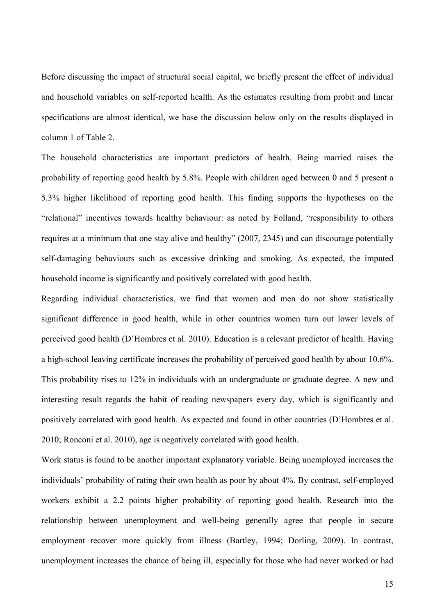Before discussing the impact of structural social capital, we briefly present the effect of individual and household variables on self-reported health. As the estimates resulting from probit and linear specifications are almost identical, we base the discussion below only on the results displayed in column 1 of Table 2.

The household characteristics are important predictors of health. Being married raises the probability of reporting good health by 5.8%. People with children aged between 0 and 5 present a 5.3% higher likelihood of reporting good health. This finding supports the hypotheses on the "relational" incentives towards healthy behaviour: as noted by Folland, "responsibility to others requires at a minimum that one stay alive and healthy" (2007, 2345) and can discourage potentially self-damaging behaviours such as excessive drinking and smoking. As expected, the imputed household income is significantly and positively correlated with good health.

Regarding individual characteristics, we find that women and men do not show statistically significant difference in good health, while in other countries women turn out lower levels of perceived good health (D'Hombres et al. 2010). Education is a relevant predictor of health. Having a high-school leaving certificate increases the probability of perceived good health by about 10.6%. This probability rises to 12% in individuals with an undergraduate or graduate degree. A new and interesting result regards the habit of reading newspapers every day, which is significantly and positively correlated with good health. As expected and found in other countries (D'Hombres et al. 2010; Ronconi et al. 2010), age is negatively correlated with good health.

Work status is found to be another important explanatory variable. Being unemployed increases the individuals' probability of rating their own health as poor by about 4%. By contrast, self-employed workers exhibit a 2.2 points higher probability of reporting good health. Research into the relationship between unemployment and well-being generally agree that people in secure employment recover more quickly from illness (Bartley, 1994; Dorling, 2009). In contrast, unemployment increases the chance of being ill, especially for those who had never worked or had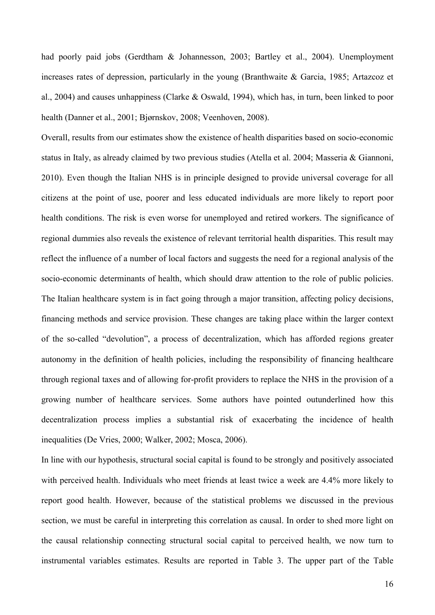had poorly paid jobs (Gerdtham & Johannesson, 2003; Bartley et al., 2004). Unemployment increases rates of depression, particularly in the young (Branthwaite & Garcia, 1985; Artazcoz et al., 2004) and causes unhappiness (Clarke & Oswald, 1994), which has, in turn, been linked to poor health (Danner et al., 2001; Bjørnskov, 2008; Veenhoven, 2008).

Overall, results from our estimates show the existence of health disparities based on socio-economic status in Italy, as already claimed by two previous studies (Atella et al. 2004; Masseria & Giannoni, 2010). Even though the Italian NHS is in principle designed to provide universal coverage for all citizens at the point of use, poorer and less educated individuals are more likely to report poor health conditions. The risk is even worse for unemployed and retired workers. The significance of regional dummies also reveals the existence of relevant territorial health disparities. This result may reflect the influence of a number of local factors and suggests the need for a regional analysis of the socio-economic determinants of health, which should draw attention to the role of public policies. The Italian healthcare system is in fact going through a major transition, affecting policy decisions, financing methods and service provision. These changes are taking place within the larger context of the so-called "devolution", a process of decentralization, which has afforded regions greater autonomy in the definition of health policies, including the responsibility of financing healthcare through regional taxes and of allowing for-profit providers to replace the NHS in the provision of a growing number of healthcare services. Some authors have pointed outunderlined how this decentralization process implies a substantial risk of exacerbating the incidence of health inequalities (De Vries, 2000; Walker, 2002; Mosca, 2006).

In line with our hypothesis, structural social capital is found to be strongly and positively associated with perceived health. Individuals who meet friends at least twice a week are 4.4% more likely to report good health. However, because of the statistical problems we discussed in the previous section, we must be careful in interpreting this correlation as causal. In order to shed more light on the causal relationship connecting structural social capital to perceived health, we now turn to instrumental variables estimates. Results are reported in Table 3. The upper part of the Table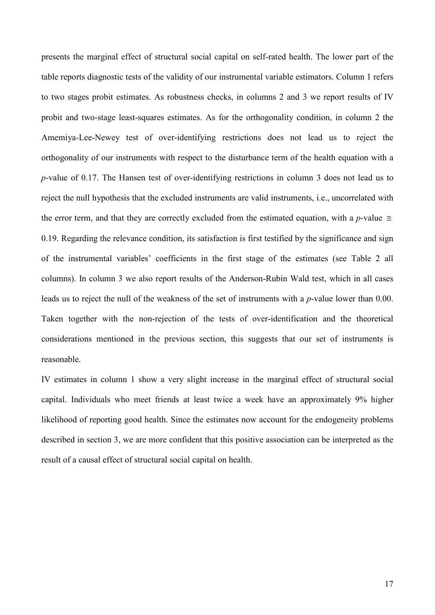presents the marginal effect of structural social capital on self-rated health. The lower part of the table reports diagnostic tests of the validity of our instrumental variable estimators. Column 1 refers to two stages probit estimates. As robustness checks, in columns 2 and 3 we report results of IV probit and two-stage least-squares estimates. As for the orthogonality condition, in column 2 the Amemiya-Lee-Newey test of over-identifying restrictions does not lead us to reject the orthogonality of our instruments with respect to the disturbance term of the health equation with a  $p$ -value of 0.17. The Hansen test of over-identifying restrictions in column 3 does not lead us to reject the null hypothesis that the excluded instruments are valid instruments, i.e., uncorrelated with the error term, and that they are correctly excluded from the estimated equation, with a p-value  $\approx$ 0.19. Regarding the relevance condition, its satisfaction is first testified by the significance and sign of the instrumental variables' coefficients in the first stage of the estimates (see Table 2 all columns). In column 3 we also report results of the Anderson-Rubin Wald test, which in all cases leads us to reject the null of the weakness of the set of instruments with a  $p$ -value lower than 0.00. Taken together with the non-rejection of the tests of over-identification and the theoretical considerations mentioned in the previous section, this suggests that our set of instruments is reasonable.

IV estimates in column 1 show a very slight increase in the marginal effect of structural social capital. Individuals who meet friends at least twice a week have an approximately 9% higher likelihood of reporting good health. Since the estimates now account for the endogeneity problems described in section 3, we are more confident that this positive association can be interpreted as the result of a causal effect of structural social capital on health.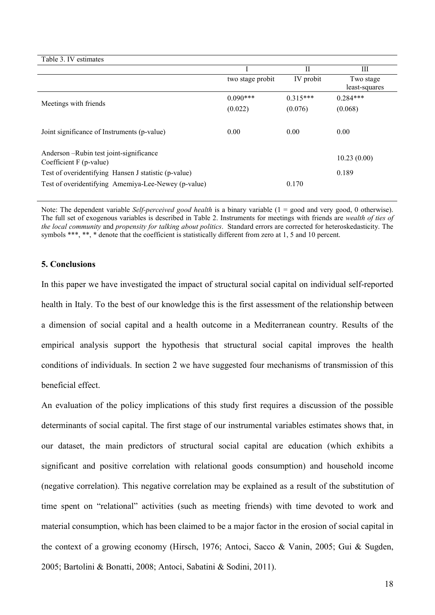| Table 3. IV estimates                                             |                  |            |                            |
|-------------------------------------------------------------------|------------------|------------|----------------------------|
|                                                                   |                  | П          | Ш                          |
|                                                                   | two stage probit | IV probit  | Two stage<br>least-squares |
| Meetings with friends                                             | $0.090***$       | $0.315***$ | $0.284***$                 |
|                                                                   | (0.022)          | (0.076)    | (0.068)                    |
| Joint significance of Instruments (p-value)                       | 0.00             | 0.00       | 0.00                       |
| Anderson-Rubin test joint-significance<br>Coefficient F (p-value) |                  |            | 10.23(0.00)                |
| Test of overidentifying Hansen J statistic (p-value)              |                  |            | 0.189                      |
| Test of overidentifying Amemiya-Lee-Newey (p-value)               |                  | 0.170      |                            |

Note: The dependent variable *Self-perceived good health* is a binary variable (1 = good and very good, 0 otherwise). The full set of exogenous variables is described in Table 2. Instruments for meetings with friends are *wealth of ties of* the local community and propensity for talking about politics. Standard errors are corrected for heteroskedasticity. The symbols \*\*\*, \*\*, \* denote that the coefficient is statistically different from zero at 1, 5 and 10 percent.

# **5. Conclusions**

In this paper we have investigated the impact of structural social capital on individual self-reported health in Italy. To the best of our knowledge this is the first assessment of the relationship between a dimension of social capital and a health outcome in a Mediterranean country. Results of the empirical analysis support the hypothesis that structural social capital improves the health conditions of individuals. In section 2 we have suggested four mechanisms of transmission of this beneficial effect.

An evaluation of the policy implications of this study first requires a discussion of the possible determinants of social capital. The first stage of our instrumental variables estimates shows that, in our dataset, the main predictors of structural social capital are education (which exhibits a significant and positive correlation with relational goods consumption) and household income (negative correlation). This negative correlation may be explained as a result of the substitution of time spent on "relational" activities (such as meeting friends) with time devoted to work and material consumption, which has been claimed to be a major factor in the erosion of social capital in the context of a growing economy (Hirsch, 1976; Antoci, Sacco & Vanin, 2005; Gui & Sugden, 2005; Bartolini & Bonatti, 2008; Antoci, Sabatini & Sodini, 2011).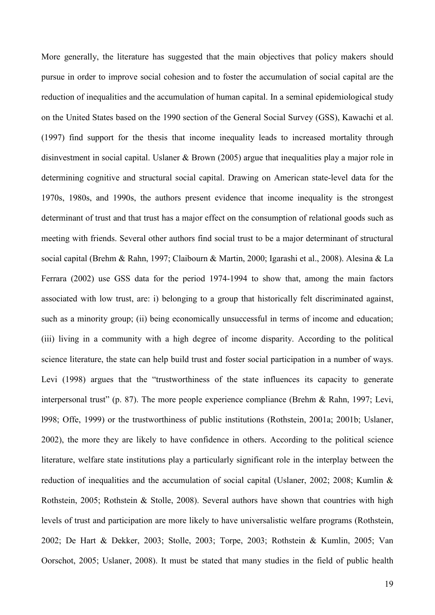More generally, the literature has suggested that the main objectives that policy makers should pursue in order to improve social cohesion and to foster the accumulation of social capital are the reduction of inequalities and the accumulation of human capital. In a seminal epidemiological study on the United States based on the 1990 section of the General Social Survey (GSS), Kawachi et al. (1997) find support for the thesis that income inequality leads to increased mortality through disinvestment in social capital. Uslaner  $\&$  Brown (2005) argue that inequalities play a major role in determining cognitive and structural social capital. Drawing on American state-level data for the 1970s, 1980s, and 1990s, the authors present evidence that income inequality is the strongest determinant of trust and that trust has a major effect on the consumption of relational goods such as meeting with friends. Several other authors find social trust to be a major determinant of structural social capital (Brehm & Rahn, 1997; Claibourn & Martin, 2000; Igarashi et al., 2008). Alesina & La Ferrara  $(2002)$  use GSS data for the period 1974-1994 to show that, among the main factors associated with low trust, are: i) belonging to a group that historically felt discriminated against, such as a minority group; (ii) being economically unsuccessful in terms of income and education; (iii) living in a community with a high degree of income disparity. According to the political science literature, the state can help build trust and foster social participation in a number of ways. Levi (1998) argues that the "trustworthiness of the state influences its capacity to generate interpersonal trust" (p. 87). The more people experience compliance (Brehm & Rahn, 1997; Levi, l998; Offe, 1999) or the trustworthiness of public institutions (Rothstein, 2001a; 2001b; Uslaner, 2002), the more they are likely to have confidence in others. According to the political science literature, welfare state institutions play a particularly significant role in the interplay between the reduction of inequalities and the accumulation of social capital (Uslaner, 2002; 2008; Kumlin & Rothstein, 2005; Rothstein & Stolle, 2008). Several authors have shown that countries with high levels of trust and participation are more likely to have universalistic welfare programs (Rothstein, 2002; De Hart & Dekker, 2003; Stolle, 2003; Torpe, 2003; Rothstein & Kumlin, 2005; Van Oorschot, 2005; Uslaner, 2008). It must be stated that many studies in the field of public health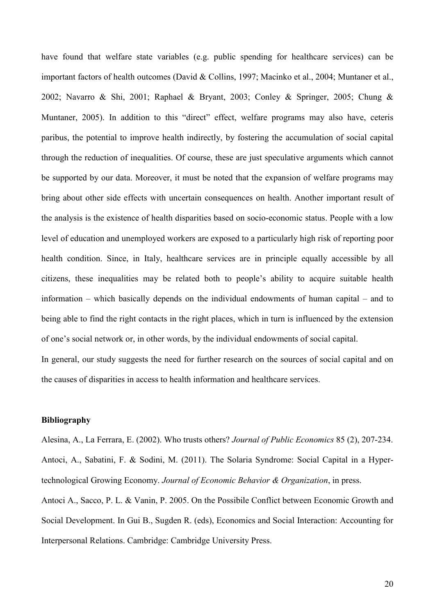have found that welfare state variables (e.g. public spending for healthcare services) can be important factors of health outcomes (David & Collins, 1997; Macinko et al., 2004; Muntaner et al., 2002; Navarro & Shi, 2001; Raphael & Bryant, 2003; Conley & Springer, 2005; Chung & Muntaner, 2005). In addition to this "direct" effect, welfare programs may also have, ceteris paribus, the potential to improve health indirectly, by fostering the accumulation of social capital through the reduction of inequalities. Of course, these are just speculative arguments which cannot be supported by our data. Moreover, it must be noted that the expansion of welfare programs may bring about other side effects with uncertain consequences on health. Another important result of the analysis is the existence of health disparities based on socio-economic status. People with a low level of education and unemployed workers are exposed to a particularly high risk of reporting poor health condition. Since, in Italy, healthcare services are in principle equally accessible by all citizens, these inequalities may be related both to people's ability to acquire suitable health information – which basically depends on the individual endowments of human capital – and to being able to find the right contacts in the right places, which in turn is influenced by the extension of one's social network or, in other words, by the individual endowments of social capital. In general, our study suggests the need for further research on the sources of social capital and on

the causes of disparities in access to health information and healthcare services.

#### **Bibliography**

Alesina, A., La Ferrara, E. (2002). Who trusts others? *Journal of Public Economics* 85 (2), 207-234. Antoci, A., Sabatini, F. & Sodini, M. (2011). The Solaria Syndrome: Social Capital in a Hypertechnological Growing Economy. Journal of Economic Behavior & Organization, in press.

Antoci A., Sacco, P. L. & Vanin, P. 2005. On the Possibile Conflict between Economic Growth and Social Development. In Gui B., Sugden R. (eds), Economics and Social Interaction: Accounting for Interpersonal Relations. Cambridge: Cambridge University Press.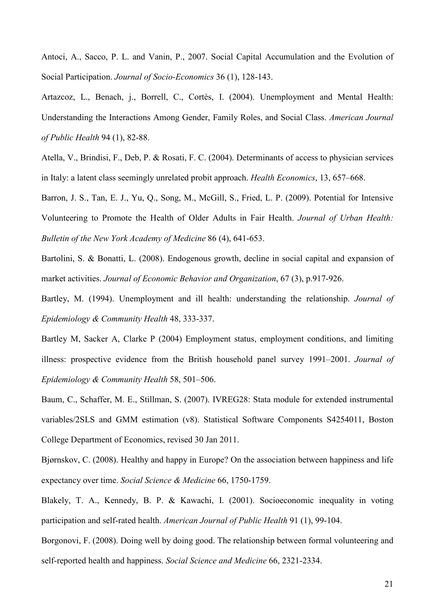Antoci, A., Sacco, P. L. and Vanin, P., 2007. Social Capital Accumulation and the Evolution of Social Participation. *Journal of Socio-Economics* 36 (1), 128-143.

Artazcoz, L., Benach, j., Borrell, C., Cortès, I. (2004). Unemployment and Mental Health: Understanding the Interactions Among Gender, Family Roles, and Social Class. American Journal *of Public Health* 94 (1), 82-88.

Atella, V., Brindisi, F., Deb, P. & Rosati, F. C. (2004). Determinants of access to physician services in Italy: a latent class seemingly unrelated probit approach. *Health Economics*, 13, 657–668.

Barron, J. S., Tan, E. J., Yu, Q., Song, M., McGill, S., Fried, L. P. (2009). Potential for Intensive Volunteering to Promote the Health of Older Adults in Fair Health. *Journal of Urban Health*: *Bulletin of the New York Academy of Medicine 86 (4), 641-653.* 

Bartolini, S. & Bonatti, L. (2008). Endogenous growth, decline in social capital and expansion of market activities. Journal of Economic Behavior and Organization, 67 (3), p.917-926.

Bartley, M. (1994). Unemployment and ill health: understanding the relationship. *Journal of* Epidemiology & Community Health 48, 333-337.

Bartley M, Sacker A, Clarke P (2004) Employment status, employment conditions, and limiting illness: prospective evidence from the British household panel survey 1991–2001. *Journal of* Epidemiology & Community Health 58, 501-506.

Baum, C., Schaffer, M. E., Stillman, S. (2007). IVREG28: Stata module for extended instrumental variables/2SLS and GMM estimation (v8). Statistical Software Components S4254011, Boston College Department of Economics, revised 30 Jan 2011.

Bjørnskov, C. (2008). Healthy and happy in Europe? On the association between happiness and life expectancy over time. *Social Science & Medicine* 66, 1750-1759.

Blakely, T. A., Kennedy, B. P. & Kawachi, I. (2001). Socioeconomic inequality in voting participation and self-rated health. *American Journal of Public Health* 91 (1), 99-104.

Borgonovi, F. (2008). Doing well by doing good. The relationship between formal volunteering and self-reported health and happiness. *Social Science and Medicine* 66, 2321-2334.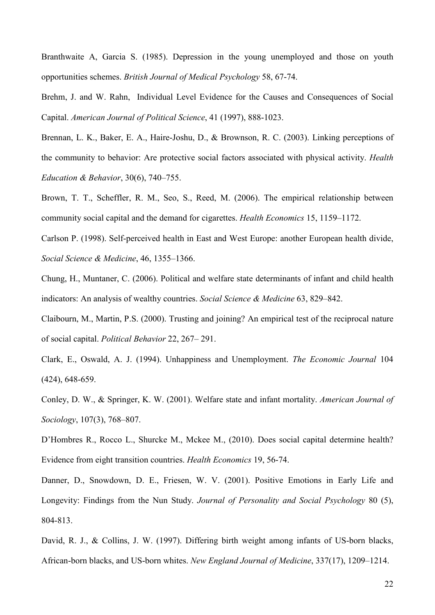Branthwaite A, Garcia S. (1985). Depression in the young unemployed and those on youth opportunities schemes. *British Journal of Medical Psychology* 58, 67-74.

Brehm, J. and W. Rahn, Individual Level Evidence for the Causes and Consequences of Social Capital. American Journal of Political Science, 41 (1997), 888-1023.

Brennan, L. K., Baker, E. A., Haire-Joshu, D., & Brownson, R. C. (2003). Linking perceptions of the community to behavior: Are protective social factors associated with physical activity. *Health Education & Behavior*, 30(6), 740–755.

Brown, T. T., Scheffler, R. M., Seo, S., Reed, M. (2006). The empirical relationship between community social capital and the demand for cigarettes. *Health Economics* 15, 1159–1172.

Carlson P. (1998). Self-perceived health in East and West Europe: another European health divide, *--+-1*, 46, 1355–1366.

Chung, H., Muntaner, C. (2006). Political and welfare state determinants of infant and child health indicators: An analysis of wealthy countries. *Social Science & Medicine* 63, 829–842.

Claibourn, M., Martin, P.S. (2000). Trusting and joining? An empirical test of the reciprocal nature of social capital. *Political Behavior* 22, 267–291.

Clark, E., Oswald, A. J. (1994). Unhappiness and Unemployment. *The Economic Journal* 104  $(424)$ , 648-659.

Conley, D. W., & Springer, K. W. (2001). Welfare state and infant mortality. American Journal of Sociology, 107(3), 768–807.

D'Hombres R., Rocco L., Shurcke M., Mckee M., (2010). Does social capital determine health? Evidence from eight transition countries. *Health Economics* 19, 56-74.

Danner, D., Snowdown, D. E., Friesen, W. V. (2001). Positive Emotions in Early Life and Longevity: Findings from the Nun Study. *Journal of Personality and Social Psychology 80 (5)*, 804-813.

David, R. J., & Collins, J. W. (1997). Differing birth weight among infants of US-born blacks, African-born blacks, and US-born whites. *New England Journal of Medicine*, 337(17), 1209–1214.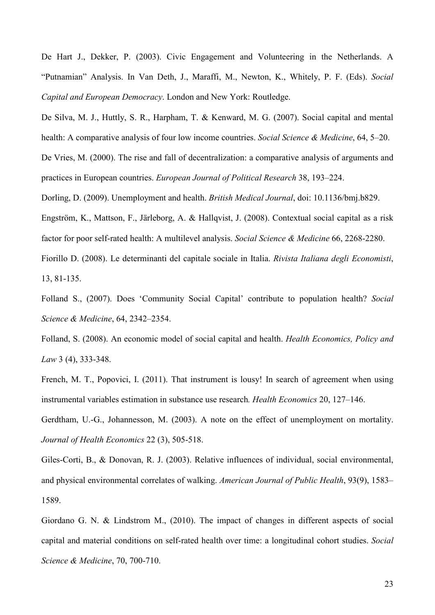De Hart J., Dekker, P. (2003). Civic Engagement and Volunteering in the Netherlands. A "Putnamian" Analysis. In Van Deth, J., Maraffi, M., Newton, K., Whitely, P. F. (Eds). *Social* Capital and European Democracy. London and New York: Routledge.

De Silva, M. J., Huttly, S. R., Harpham, T. & Kenward, M. G. (2007). Social capital and mental health: A comparative analysis of four low income countries. *Social Science & Medicine*, 64, 5–20.

De Vries, M. (2000). The rise and fall of decentralization: a comparative analysis of arguments and practices in European countries. *European Journal of Political Research* 38, 193–224.

Dorling, D. (2009). Unemployment and health. *British Medical Journal*, doi: 10.1136/bmj.b829.

Engström, K., Mattson, F., Järleborg, A. & Hallqvist, J. (2008). Contextual social capital as a risk factor for poor self-rated health: A multilevel analysis. *Social Science & Medicine* 66, 2268-2280.

Fiorillo D. (2008). Le determinanti del capitale sociale in Italia. Rivista Italiana degli Economisti, 13, 81-135.

Folland S., (2007). Does 'Community Social Capital' contribute to population health? *Social -+-1*, 64, 2342–2354.

Folland, S. (2008). An economic model of social capital and health. *Health Economics, Policy and Law* 3 (4), 333-348.

French, M. T., Popovici, I. (2011). That instrument is lousy! In search of agreement when using instrumental variables estimation in substance use research. *Health Economics* 20, 127–146.

Gerdtham, U.-G., Johannesson, M. (2003). A note on the effect of unemployment on mortality. *Journal of Health Economics* 22 (3), 505-518.

Giles-Corti, B., & Donovan, R. J. (2003). Relative influences of individual, social environmental, and physical environmental correlates of walking. American Journal of Public Health, 93(9), 1583– 1589.

Giordano G. N. & Lindstrom M., (2010). The impact of changes in different aspects of social capital and material conditions on self-rated health over time: a longitudinal cohort studies. *Social Science & Medicine*, 70, 700-710.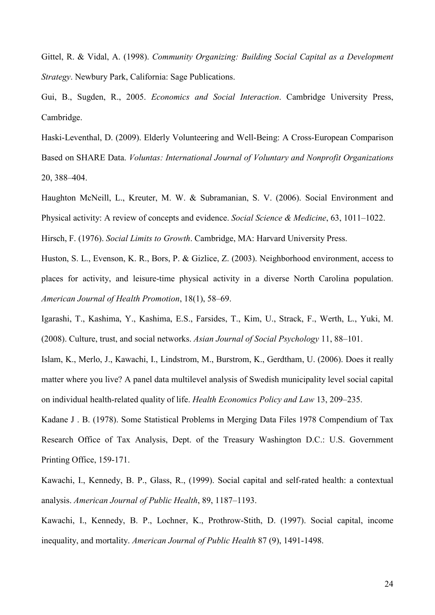Gittel, R. & Vidal, A. (1998). *Community Organizing: Building Social Capital as a Development Strategy*. Newbury Park, California: Sage Publications.

Gui, B., Sugden, R., 2005. *Economics and Social Interaction*. Cambridge University Press, Cambridge.

Haski-Leventhal, D. (2009). Elderly Volunteering and Well-Being: A Cross-European Comparison Based on SHARE Data. *Voluntas: International Journal of Voluntary and Nonprofit Organizations* 20, 388–404.

Haughton McNeill, L., Kreuter, M. W. & Subramanian, S. V. (2006). Social Environment and Physical activity: A review of concepts and evidence. *Social Science & Medicine*, 63, 1011–1022. Hirsch, F. (1976). *Social Limits to Growth*. Cambridge, MA: Harvard University Press.

Huston, S. L., Evenson, K. R., Bors, P. & Gizlice, Z. (2003). Neighborhood environment, access to places for activity, and leisure-time physical activity in a diverse North Carolina population. *--'-!- -(*, 18(1), 58–69.

Igarashi, T., Kashima, Y., Kashima, E.S., Farsides, T., Kim, U., Strack, F., Werth, L., Yuki, M. (2008). Culture, trust, and social networks. Asian Journal of Social Psychology 11, 88-101.

Islam, K., Merlo, J., Kawachi, I., Lindstrom, M., Burstrom, K., Gerdtham, U. (2006). Does it really matter where you live? A panel data multilevel analysis of Swedish municipality level social capital on individual health-related quality of life. *Health Economics Policy and Law* 13, 209–235.

Kadane J . B. (1978). Some Statistical Problems in Merging Data Files 1978 Compendium of Tax Research Office of Tax Analysis, Dept. of the Treasury Washington D.C.: U.S. Government Printing Office, 159-171.

Kawachi, I., Kennedy, B. P., Glass, R., (1999). Social capital and self-rated health: a contextual analysis. American Journal of Public Health, 89, 1187–1193.

Kawachi, I., Kennedy, B. P., Lochner, K., Prothrow-Stith, D. (1997). Social capital, income inequality, and mortality. American Journal of Public Health 87 (9), 1491-1498.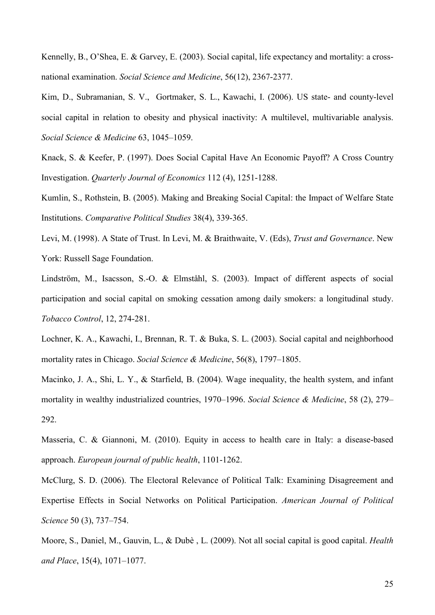Kennelly, B., O'Shea, E. & Garvey, E. (2003). Social capital, life expectancy and mortality: a crossnational examination. *Social Science and Medicine*, 56(12), 2367-2377.

Kim, D., Subramanian, S. V., Gortmaker, S. L., Kawachi, I. (2006). US state- and county-level social capital in relation to obesity and physical inactivity: A multilevel, multivariable analysis. *--+-1* 63, 1045–1059.

Knack, S. & Keefer, P. (1997). Does Social Capital Have An Economic Payoff? A Cross Country Investigation. *Quarterly Journal of Economics* 112 (4), 1251-1288.

Kumlin, S., Rothstein, B. (2005). Making and Breaking Social Capital: the Impact of Welfare State Institutions. *Comparative Political Studies* 38(4), 339-365.

Levi, M. (1998). A State of Trust. In Levi, M. & Braithwaite, V. (Eds), *Trust and Governance*. New York: Russell Sage Foundation.

Lindström, M., Isacsson, S.-O. & Elmståhl, S. (2003). Impact of different aspects of social participation and social capital on smoking cessation among daily smokers: a longitudinal study. *Tobacco Control*, 12, 274-281.

Lochner, K. A., Kawachi, I., Brennan, R. T. & Buka, S. L. (2003). Social capital and neighborhood mortality rates in Chicago. *Social Science & Medicine*, 56(8), 1797–1805.

Macinko, J. A., Shi, L. Y., & Starfield, B. (2004). Wage inequality, the health system, and infant mortality in wealthy industrialized countries, 1970–1996. *Social Science & Medicine*, 58 (2), 279– 292.

Masseria, C. & Giannoni, M. (2010). Equity in access to health care in Italy: a disease-based approach. *European journal of public health*, 1101-1262.

McClurg, S. D. (2006). The Electoral Relevance of Political Talk: Examining Disagreement and Expertise Effects in Social Networks on Political Participation. American Journal of Political Science 50 (3), 737–754.

Moore, S., Daniel, M., Gauvin, L., & Dubè, L. (2009). Not all social capital is good capital. *Health* and Place, 15(4), 1071–1077.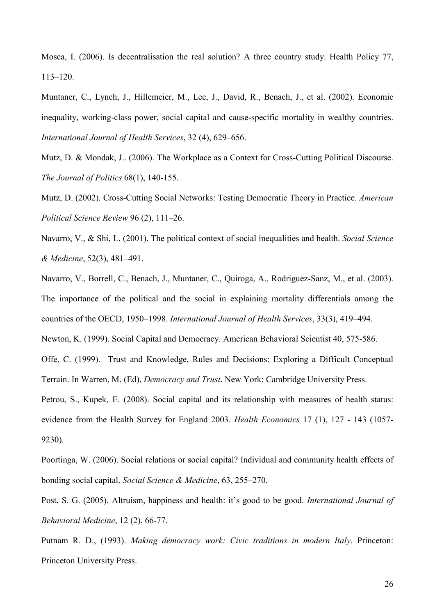Mosca, I. (2006). Is decentralisation the real solution? A three country study. Health Policy 77, 113–120.

Muntaner, C., Lynch, J., Hillemeier, M., Lee, J., David, R., Benach, J., et al. (2002). Economic inequality, working-class power, social capital and cause-specific mortality in wealthy countries. International Journal of Health Services, 32 (4), 629–656.

Mutz, D. & Mondak, J.. (2006). The Workplace as a Context for Cross-Cutting Political Discourse. *The Journal of Politics* 68(1), 140-155.

Mutz, D. (2002). Cross-Cutting Social Networks: Testing Democratic Theory in Practice. *American Political Science Review 96 (2), 111–26.* 

Navarro, V., & Shi, L. (2001). The political context of social inequalities and health. *Social Science +-1*, 52(3), 481–491.

Navarro, V., Borrell, C., Benach, J., Muntaner, C., Quiroga, A., Rodriguez-Sanz, M., et al. (2003). The importance of the political and the social in explaining mortality differentials among the countries of the OECD, 1950–1998. International Journal of Health Services, 33(3), 419–494.

Newton, K. (1999). Social Capital and Democracy. American Behavioral Scientist 40, 575-586.

Offe, C. (1999). Trust and Knowledge, Rules and Decisions: Exploring a Difficult Conceptual Terrain. In Warren, M. (Ed), *Democracy and Trust*. New York: Cambridge University Press.

Petrou, S., Kupek, E. (2008). Social capital and its relationship with measures of health status: evidence from the Health Survey for England 2003. *Health Economics* 17 (1), 127 - 143 (1057-9230).

Poortinga, W. (2006). Social relations or social capital? Individual and community health effects of bonding social capital. *Social Science & Medicine*, 63, 255–270.

Post, S. G. (2005). Altruism, happiness and health: it's good to be good. *International Journal of Behavioral Medicine*, 12 (2), 66-77.

Putnam R. D., (1993). Making democracy work: Civic traditions in modern Italy. Princeton: Princeton University Press.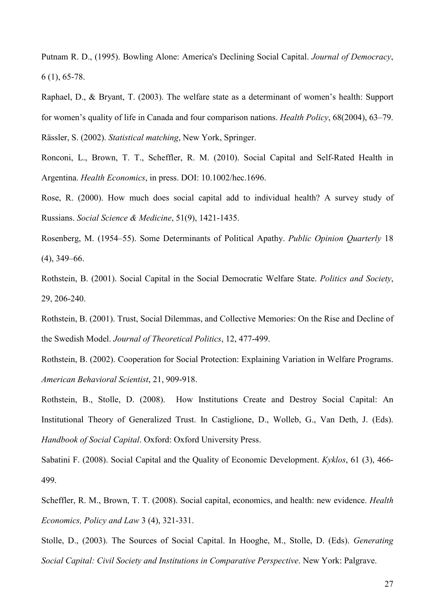Putnam R. D., (1995). Bowling Alone: America's Declining Social Capital. *Journal of Democracy*,  $6(1)$ , 65-78.

Raphael, D., & Bryant, T. (2003). The welfare state as a determinant of women's health: Support for women's quality of life in Canada and four comparison nations. *Health Policy*, 68(2004), 63–79. Rässler, S. (2002). *Statistical matching*, New York, Springer.

Ronconi, L., Brown, T. T., Scheffler, R. M. (2010). Social Capital and Self-Rated Health in Argentina. *Health Economics*, in press. DOI: 10.1002/hec.1696.

Rose, R. (2000). How much does social capital add to individual health? A survey study of Russians. *Social Science & Medicine*, 51(9), 1421-1435.

Rosenberg, M. (1954–55). Some Determinants of Political Apathy. *Public Opinion Quarterly* 18  $(4)$ , 349–66.

Rothstein, B. (2001). Social Capital in the Social Democratic Welfare State. *Politics and Society*, 29, 206-240.

Rothstein, B. (2001). Trust, Social Dilemmas, and Collective Memories: On the Rise and Decline of the Swedish Model. *Journal of Theoretical Politics*, 12, 477-499.

Rothstein, B. (2002). Cooperation for Social Protection: Explaining Variation in Welfare Programs. *American Behavioral Scientist, 21, 909-918.* 

Rothstein, B., Stolle, D. (2008). How Institutions Create and Destroy Social Capital: An Institutional Theory of Generalized Trust. In Castiglione, D., Wolleb, G., Van Deth, J. (Eds). Handbook of Social Capital. Oxford: Oxford University Press.

Sabatini F. (2008). Social Capital and the Quality of Economic Development. *Kyklos*, 61 (3), 466-499.

Scheffler, R. M., Brown, T. T. (2008). Social capital, economics, and health: new evidence. *Health Economics, Policy and Law* 3 (4), 321-331.

Stolle, D., (2003). The Sources of Social Capital. In Hooghe, M., Stolle, D. (Eds). *Generating* Social Capital: Civil Society and Institutions in Comparative Perspective. New York: Palgrave.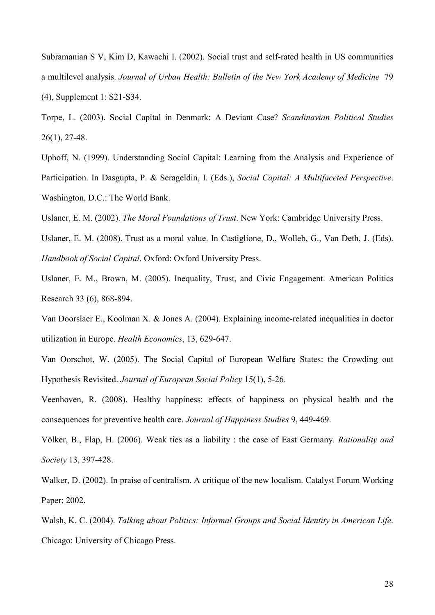Subramanian S V, Kim D, Kawachi I. (2002). Social trust and self-rated health in US communities a multilevel analysis. *Journal of Urban Health: Bulletin of the New York Academy of Medicine 79*  $(4)$ , Supplement 1: S21-S34.

Torpe, L. (2003). Social Capital in Denmark: A Deviant Case? Scandinavian Political Studies  $26(1)$ , 27-48.

Uphoff, N. (1999). Understanding Social Capital: Learning from the Analysis and Experience of Participation. In Dasgupta, P. & Serageldin, I. (Eds.), *Social Capital: A Multifaceted Perspective*. Washington, D.C.: The World Bank.

Uslaner, E. M. (2002). *The Moral Foundations of Trust*. New York: Cambridge University Press.

Uslaner, E. M. (2008). Trust as a moral value. In Castiglione, D., Wolleb, G., Van Deth, J. (Eds). Handbook of Social Capital. Oxford: Oxford University Press.

Uslaner, E. M., Brown, M. (2005). Inequality, Trust, and Civic Engagement. American Politics Research 33 (6), 868-894.

Van Doorslaer E., Koolman X. & Jones A. (2004). Explaining income-related inequalities in doctor utilization in Europe. *Health Economics*, 13, 629-647.

Van Oorschot, W. (2005). The Social Capital of European Welfare States: the Crowding out Hypothesis Revisited. *Journal of European Social Policy* 15(1), 5-26.

Veenhoven, R. (2008). Healthy happiness: effects of happiness on physical health and the consequences for preventive health care. *Journal of Happiness Studies* 9, 449-469.

Völker, B., Flap, H. (2006). Weak ties as a liability : the case of East Germany. *Rationality and Society* 13, 397-428.

Walker, D. (2002). In praise of centralism. A critique of the new localism. Catalyst Forum Working Paper; 2002.

Walsh, K. C. (2004). Talking about Politics: Informal Groups and Social Identity in American Life. Chicago: University of Chicago Press.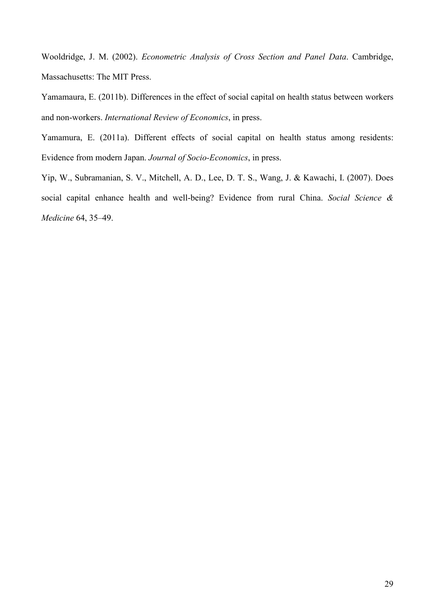Wooldridge, J. M. (2002). *Econometric Analysis of Cross Section and Panel Data*. Cambridge, Massachusetts: The MIT Press.

Yamamaura, E. (2011b). Differences in the effect of social capital on health status between workers and non-workers. *International Review of Economics*, in press.

Yamamura, E. (2011a). Different effects of social capital on health status among residents: Evidence from modern Japan. *Journal of Socio-Economics*, in press.

Yip, W., Subramanian, S. V., Mitchell, A. D., Lee, D. T. S., Wang, J. & Kawachi, I. (2007). Does social capital enhance health and well-being? Evidence from rural China. *Social Science & Medicine* 64, 35-49.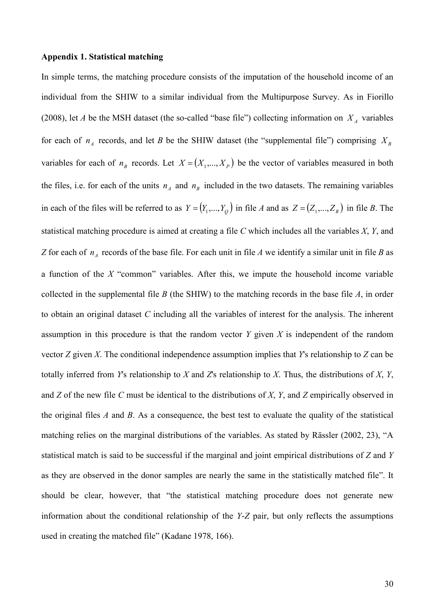#### **Appendix 1. Statistical matching**

In simple terms, the matching procedure consists of the imputation of the household income of an individual from the SHIW to a similar individual from the Multipurpose Survey. As in Fiorillo (2008), let *A* be the MSH dataset (the so-called "base file") collecting information on  $X_A$  variables for each of  $n_A$  records, and let *B* be the SHIW dataset (the "supplemental file") comprising  $X_B$ variables for each of  $n<sub>B</sub>$  records. Let  $X = (X_1, ..., X_p)$  be the vector of variables measured in both the files, i.e. for each of the units  $n_A$  and  $n_B$  included in the two datasets. The remaining variables in each of the files will be referred to as  $Y = (Y_1, ..., Y_Q)$  in file *A* and as  $Z = (Z_1, ..., Z_R)$  in file *B*. The statistical matching procedure is aimed at creating a file  $C$  which includes all the variables  $X, Y$ , and Z for each of  $n_A$  records of the base file. For each unit in file A we identify a similar unit in file B as a function of the  $X$  "common" variables. After this, we impute the household income variable collected in the supplemental file  $\hat{B}$  (the SHIW) to the matching records in the base file  $\hat{A}$ , in order to obtain an original dataset *C* including all the variables of interest for the analysis. The inherent assumption in this procedure is that the random vector  $Y$  given  $X$  is independent of the random vector  $Z$  given  $X$ . The conditional independence assumption implies that  $Y$ s relationship to  $Z$  can be totally inferred from  $Y$ s relationship to  $X$  and  $Z$ s relationship to  $X$ . Thus, the distributions of  $X$ ,  $Y$ , and  $Z$  of the new file  $C$  must be identical to the distributions of  $X$ ,  $Y$ , and  $Z$  empirically observed in the original files  $A$  and  $B$ . As a consequence, the best test to evaluate the quality of the statistical matching relies on the marginal distributions of the variables. As stated by Rässler (2002, 23), "A statistical match is said to be successful if the marginal and joint empirical distributions of  $Z$  and  $Y$ as they are observed in the donor samples are nearly the same in the statistically matched file". It should be clear, however, that "the statistical matching procedure does not generate new information about the conditional relationship of the  $Y-Z$  pair, but only reflects the assumptions used in creating the matched file" (Kadane 1978, 166).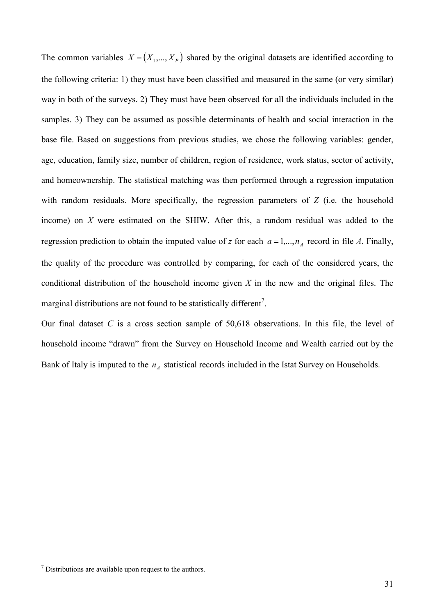The common variables  $X = (X_1, \ldots, X_p)$  shared by the original datasets are identified according to the following criteria: 1) they must have been classified and measured in the same (or very similar) way in both of the surveys. 2) They must have been observed for all the individuals included in the samples. 3) They can be assumed as possible determinants of health and social interaction in the base file. Based on suggestions from previous studies, we chose the following variables: gender, age, education, family size, number of children, region of residence, work status, sector of activity, and homeownership. The statistical matching was then performed through a regression imputation with random residuals. More specifically, the regression parameters of  $Z$  (i.e. the household income) on  $X$  were estimated on the SHIW. After this, a random residual was added to the regression prediction to obtain the imputed value of z for each  $a = 1,..., n_A$  record in file A. Finally, the quality of the procedure was controlled by comparing, for each of the considered years, the conditional distribution of the household income given  $X$  in the new and the original files. The marginal distributions are not found to be statistically different<sup>7</sup>.

Our final dataset  $C$  is a cross section sample of  $50,618$  observations. In this file, the level of household income "drawn" from the Survey on Household Income and Wealth carried out by the Bank of Italy is imputed to the  $n_A$  statistical records included in the Istat Survey on Households.

This *T* Distributions are available upon request to the authors.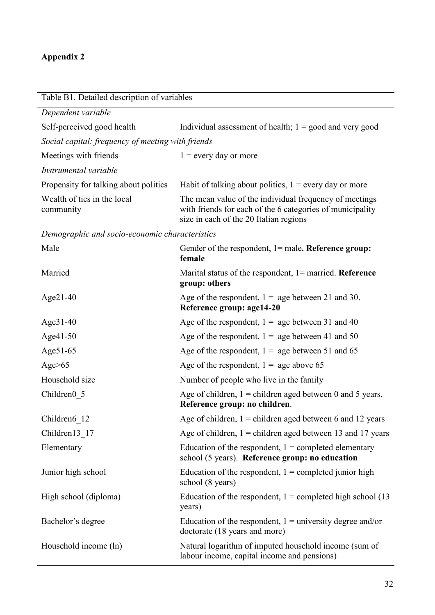# **Appendix 2**

| Table B1. Detailed description of variables       |                                                                                                                                                               |  |
|---------------------------------------------------|---------------------------------------------------------------------------------------------------------------------------------------------------------------|--|
| Dependent variable                                |                                                                                                                                                               |  |
| Self-perceived good health                        | Individual assessment of health; $1 = \text{good}$ and very good                                                                                              |  |
| Social capital: frequency of meeting with friends |                                                                                                                                                               |  |
| Meetings with friends                             | $1 =$ every day or more                                                                                                                                       |  |
| Instrumental variable                             |                                                                                                                                                               |  |
| Propensity for talking about politics             | Habit of talking about politics, $1 =$ every day or more                                                                                                      |  |
| Wealth of ties in the local<br>community          | The mean value of the individual frequency of meetings<br>with friends for each of the 6 categories of municipality<br>size in each of the 20 Italian regions |  |
| Demographic and socio-economic characteristics    |                                                                                                                                                               |  |
| Male                                              | Gender of the respondent, $l =$ male. Reference group:<br>female                                                                                              |  |
| Married                                           | Marital status of the respondent, $l =$ married. Reference<br>group: others                                                                                   |  |
| $Age21-40$                                        | Age of the respondent, $1 = age$ between 21 and 30.<br>Reference group: age14-20                                                                              |  |
| Age31-40                                          | Age of the respondent, $1 = age$ between 31 and 40                                                                                                            |  |
| Age41-50                                          | Age of the respondent, $1 =$ age between 41 and 50                                                                                                            |  |
| Age51-65                                          | Age of the respondent, $1 =$ age between 51 and 65                                                                                                            |  |
| Age $>65$                                         | Age of the respondent, $1 =$ age above 65                                                                                                                     |  |
| Household size                                    | Number of people who live in the family                                                                                                                       |  |
| Children <sub>0</sub> 5                           | Age of children, $1 =$ children aged between 0 and 5 years.<br>Reference group: no children.                                                                  |  |
| Children6 12                                      | Age of children, $1 =$ children aged between 6 and 12 years                                                                                                   |  |
| Children13 17                                     | Age of children, $1 =$ children aged between 13 and 17 years                                                                                                  |  |
| Elementary                                        | Education of the respondent, $1 =$ completed elementary                                                                                                       |  |

school (8 years)

years)

Junior high school Education of the respondent, 1 = completed junior high High school (diploma) Education of the respondent,  $1 =$  completed high school (13

Bachelor's degree Education of the respondent, 1 = university degree and/or

doctorate (18 years and more)

school (5 years). Reference group: no education